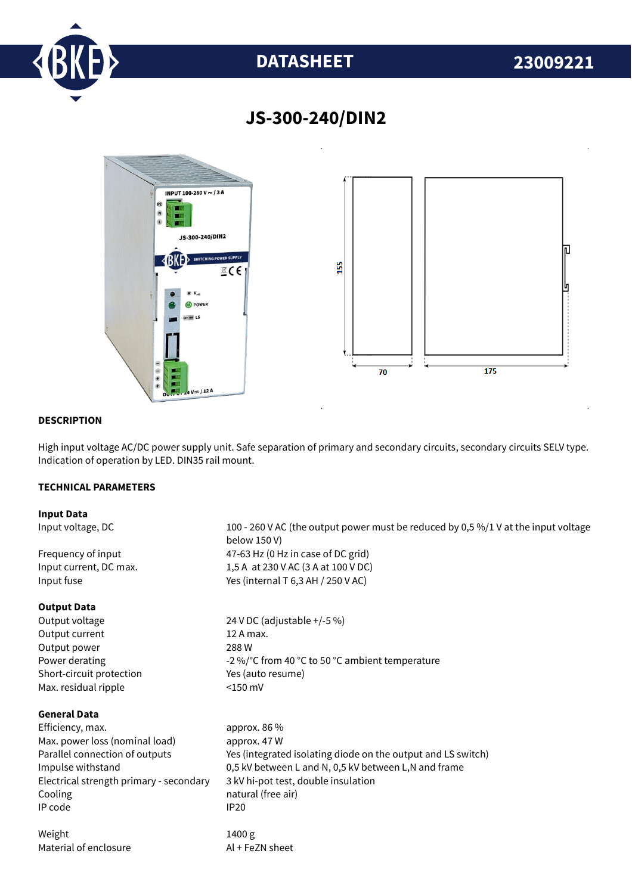

# **DATASHEET 23009221**



# **JS-300-240/DIN2**

# **DESCRIPTION**

High input voltage AC/DC power supply unit. Safe separation of primary and secondary circuits, secondary circuits SELV type. Indication of operation by LED. DIN35 rail mount.

# **TECHNICAL PARAMETERS**

## **Input Data**

### **Output Data**

Output current 12 A max. Output power 288 W Short-circuit protection Yes (auto resume) Max. residual ripple <150 mV

# **General Data**

Efficiency. max. approx. 86 % Max. power loss (nominal load) approx. 47 W Electrical strength primary - secondary 3 kV hi-pot test, double insulation Cooling **natural** (free air) IP code IP20

Weight 1400 g Material of enclosure Al + FeZN sheet

Input voltage, DC 100 - 260 V AC (the output power must be reduced by 0,5 %/1 V at the input voltage below 150 V) Frequency of input  $47-63$  Hz (0 Hz in case of DC grid) Input current, DC max. 1,5 A at 230 V AC (3 A at 100 V DC) Input fuse  $Y$ es (internal T 6,3 AH / 250 V AC)

Output voltage 24 V DC (adjustable +/-5 %) Power derating  $-2\%$  °C from 40 °C to 50 °C ambient temperature

Parallel connection of outputs Yes (integrated isolating diode on the output and LS switch) Impulse withstand 0,5 kV between L and N, 0,5 kV between L,N and frame